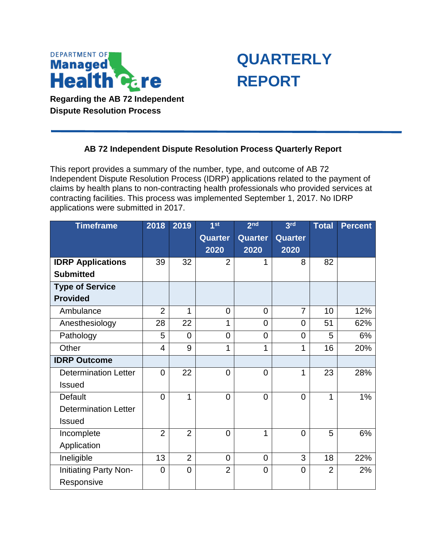

**Dispute Resolution Process** 



## **AB 72 Independent Dispute Resolution Process Quarterly Report**

 contracting facilities. This process was implemented September 1, 2017. No IDRP This report provides a summary of the number, type, and outcome of AB 72 Independent Dispute Resolution Process (IDRP) applications related to the payment of claims by health plans to non-contracting health professionals who provided services at applications were submitted in 2017.

| <b>Timeframe</b>            | 2018           | 2019           | 1 <sub>st</sub> | 2 <sub>nd</sub> | 3 <sup>rd</sup> | <b>Total</b>   | <b>Percent</b> |
|-----------------------------|----------------|----------------|-----------------|-----------------|-----------------|----------------|----------------|
|                             |                |                | <b>Quarter</b>  | Quarter         | <b>Quarter</b>  |                |                |
|                             |                |                | 2020            | 2020            | 2020            |                |                |
| <b>IDRP Applications</b>    | 39             | 32             | $\overline{2}$  |                 | 8               | 82             |                |
| <b>Submitted</b>            |                |                |                 |                 |                 |                |                |
| <b>Type of Service</b>      |                |                |                 |                 |                 |                |                |
| <b>Provided</b>             |                |                |                 |                 |                 |                |                |
| Ambulance                   | $\overline{2}$ | 1              | $\overline{0}$  | $\overline{0}$  | $\overline{7}$  | 10             | 12%            |
| Anesthesiology              | 28             | 22             | 1               | $\overline{0}$  | $\Omega$        | 51             | 62%            |
| Pathology                   | 5              | $\overline{0}$ | $\overline{0}$  | $\overline{0}$  | $\overline{0}$  | 5              | 6%             |
| Other                       | $\overline{4}$ | 9              | 1               | 1               | 1               | 16             | 20%            |
| <b>IDRP Outcome</b>         |                |                |                 |                 |                 |                |                |
| <b>Determination Letter</b> | $\overline{0}$ | 22             | $\overline{0}$  | $\overline{0}$  | 1               | 23             | 28%            |
| <b>Issued</b>               |                |                |                 |                 |                 |                |                |
| Default                     | $\overline{0}$ | 1              | $\overline{0}$  | $\overline{0}$  | $\overline{0}$  | 1              | 1%             |
| <b>Determination Letter</b> |                |                |                 |                 |                 |                |                |
| <b>Issued</b>               |                |                |                 |                 |                 |                |                |
| Incomplete                  | $\overline{2}$ | $\overline{2}$ | $\overline{0}$  | 1               | $\overline{0}$  | 5              | 6%             |
| Application                 |                |                |                 |                 |                 |                |                |
| Ineligible                  | 13             | $\overline{2}$ | $\overline{0}$  | $\overline{0}$  | 3               | 18             | 22%            |
| Initiating Party Non-       | $\mathbf 0$    | $\mathbf 0$    | $\overline{2}$  | $\mathbf 0$     | 0               | $\overline{2}$ | 2%             |
| Responsive                  |                |                |                 |                 |                 |                |                |